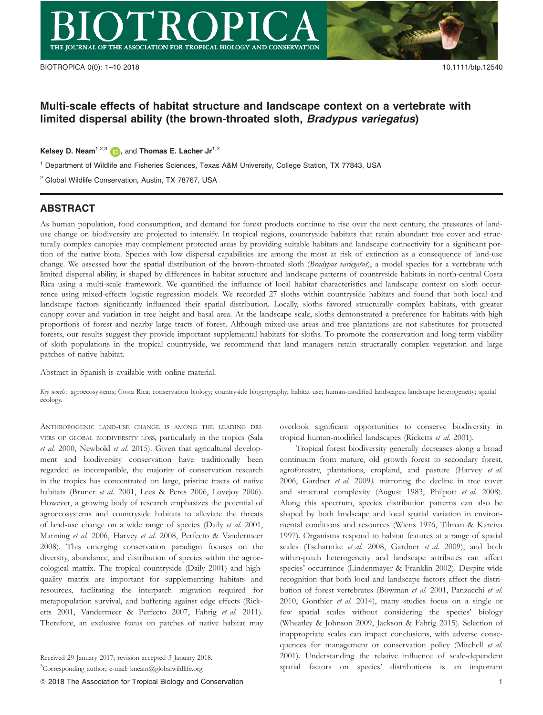# Multi-scale effects of habitat structure and landscape context on a vertebrate with limited dispersal ability (the brown-throated sloth, Bradypus variegatus)

Kelsey D. Neam<sup>1,2,[3](http://orcid.org/0000-0003-1994-4346)</sup> (D), and Thomas E. Lacher  $Jr^{1,2}$ 

<sup>1</sup> Department of Wildlife and Fisheries Sciences, Texas A&M University, College Station, TX 77843, USA

<sup>2</sup> Global Wildlife Conservation, Austin, TX 78767, USA

## ABSTRACT

As human population, food consumption, and demand for forest products continue to rise over the next century, the pressures of landuse change on biodiversity are projected to intensify. In tropical regions, countryside habitats that retain abundant tree cover and structurally complex canopies may complement protected areas by providing suitable habitats and landscape connectivity for a significant portion of the native biota. Species with low dispersal capabilities are among the most at risk of extinction as a consequence of land-use change. We assessed how the spatial distribution of the brown-throated sloth (Bradypus variegatus), a model species for a vertebrate with limited dispersal ability, is shaped by differences in habitat structure and landscape patterns of countryside habitats in north-central Costa Rica using a multi-scale framework. We quantified the influence of local habitat characteristics and landscape context on sloth occurrence using mixed-effects logistic regression models. We recorded 27 sloths within countryside habitats and found that both local and landscape factors significantly influenced their spatial distribution. Locally, sloths favored structurally complex habitats, with greater canopy cover and variation in tree height and basal area. At the landscape scale, sloths demonstrated a preference for habitats with high proportions of forest and nearby large tracts of forest. Although mixed-use areas and tree plantations are not substitutes for protected forests, our results suggest they provide important supplemental habitats for sloths. To promote the conservation and long-term viability of sloth populations in the tropical countryside, we recommend that land managers retain structurally complex vegetation and large patches of native habitat.

Abstract in Spanish is available with online material.

Key words: agroecosystems; Costa Rica; conservation biology; countryside biogeography; habitat use; human-modified landscapes; landscape heterogeneity; spatial ecology.

ANTHROPOGENIC LAND-USE CHANGE IS AMONG THE LEADING DRI-VERS OF GLOBAL BIODIVERSITY LOSS, particularly in the tropics (Sala et al. 2000, Newbold et al. 2015). Given that agricultural development and biodiversity conservation have traditionally been regarded as incompatible, the majority of conservation research in the tropics has concentrated on large, pristine tracts of native habitats (Bruner et al. 2001, Lees & Peres 2006, Lovejoy 2006). However, a growing body of research emphasizes the potential of agroecosystems and countryside habitats to alleviate the threats of land-use change on a wide range of species (Daily et al. 2001, Manning et al. 2006, Harvey et al. 2008, Perfecto & Vandermeer 2008). This emerging conservation paradigm focuses on the diversity, abundance, and distribution of species within the agroecological matrix. The tropical countryside (Daily 2001) and highquality matrix are important for supplementing habitats and resources, facilitating the interpatch migration required for metapopulation survival, and buffering against edge effects (Ricketts 2001, Vandermeer & Perfecto 2007, Fahrig et al. 2011). Therefore, an exclusive focus on patches of native habitat may

overlook significant opportunities to conserve biodiversity in tropical human-modified landscapes (Ricketts et al. 2001).

Tropical forest biodiversity generally decreases along a broad continuum from mature, old growth forest to secondary forest, agroforestry, plantations, cropland, and pasture (Harvey et al. 2006, Gardner et al. 2009), mirroring the decline in tree cover and structural complexity (August 1983, Philpott et al. 2008). Along this spectrum, species distribution patterns can also be shaped by both landscape and local spatial variation in environmental conditions and resources (Wiens 1976, Tilman & Kareiva 1997). Organisms respond to habitat features at a range of spatial scales (Tscharntke et al. 2008, Gardner et al. 2009), and both within-patch heterogeneity and landscape attributes can affect species' occurrence (Lindenmayer & Franklin 2002). Despite wide recognition that both local and landscape factors affect the distribution of forest vertebrates (Bowman et al. 2001, Panzacchi et al. 2010, Gonthier et al. 2014), many studies focus on a single or few spatial scales without considering the species' biology (Wheatley & Johnson 2009, Jackson & Fahrig 2015). Selection of inappropriate scales can impact conclusions, with adverse consequences for management or conservation policy (Mitchell et al. 2001). Understanding the relative influence of scale-dependent spatial factors on species' distributions is an important

Received 29 January 2017; revision accepted 3 January 2018.

<sup>&</sup>lt;sup>3</sup>Corresponding author; e-mail: kneam@globalwildlife.org

ª 2018 The Association for Tropical Biology and Conservation 1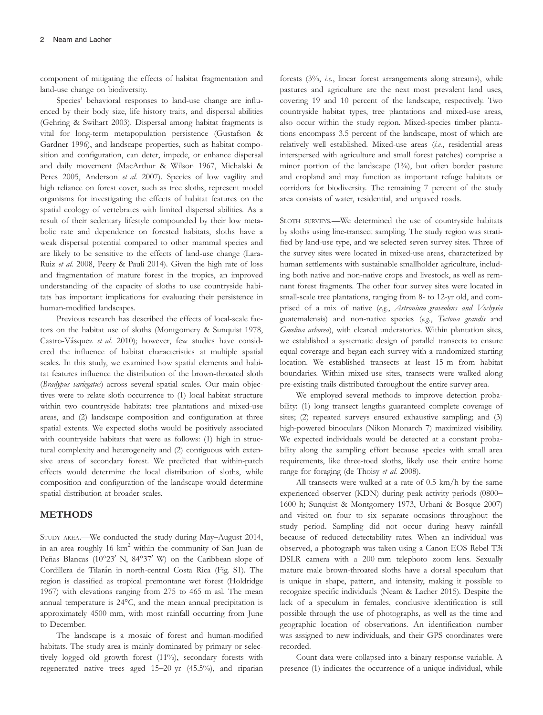component of mitigating the effects of habitat fragmentation and land-use change on biodiversity.

Species' behavioral responses to land-use change are influenced by their body size, life history traits, and dispersal abilities (Gehring & Swihart 2003). Dispersal among habitat fragments is vital for long-term metapopulation persistence (Gustafson & Gardner 1996), and landscape properties, such as habitat composition and configuration, can deter, impede, or enhance dispersal and daily movement (MacArthur & Wilson 1967, Michalski & Peres 2005, Anderson et al. 2007). Species of low vagility and high reliance on forest cover, such as tree sloths, represent model organisms for investigating the effects of habitat features on the spatial ecology of vertebrates with limited dispersal abilities. As a result of their sedentary lifestyle compounded by their low metabolic rate and dependence on forested habitats, sloths have a weak dispersal potential compared to other mammal species and are likely to be sensitive to the effects of land-use change (Lara-Ruiz et al. 2008, Peery & Pauli 2014). Given the high rate of loss and fragmentation of mature forest in the tropics, an improved understanding of the capacity of sloths to use countryside habitats has important implications for evaluating their persistence in human-modified landscapes.

Previous research has described the effects of local-scale factors on the habitat use of sloths (Montgomery & Sunquist 1978, Castro-Vásquez et al. 2010); however, few studies have considered the influence of habitat characteristics at multiple spatial scales. In this study, we examined how spatial elements and habitat features influence the distribution of the brown-throated sloth (Bradypus variegatus) across several spatial scales. Our main objectives were to relate sloth occurrence to (1) local habitat structure within two countryside habitats: tree plantations and mixed-use areas, and (2) landscape composition and configuration at three spatial extents. We expected sloths would be positively associated with countryside habitats that were as follows: (1) high in structural complexity and heterogeneity and (2) contiguous with extensive areas of secondary forest. We predicted that within-patch effects would determine the local distribution of sloths, while composition and configuration of the landscape would determine spatial distribution at broader scales.

#### METHODS

STUDY AREA.—We conducted the study during May–August 2014, in an area roughly  $16 \text{ km}^2$  within the community of San Juan de Peñas Blancas (10°23' N, 84°37' W) on the Caribbean slope of Cordillera de Tilarán in north-central Costa Rica (Fig. S1). The region is classified as tropical premontane wet forest (Holdridge 1967) with elevations ranging from 275 to 465 m asl. The mean annual temperature is 24°C, and the mean annual precipitation is approximately 4500 mm, with most rainfall occurring from June to December.

The landscape is a mosaic of forest and human-modified habitats. The study area is mainly dominated by primary or selectively logged old growth forest (11%), secondary forests with regenerated native trees aged 15–20 yr (45.5%), and riparian

forests (3%, i.e., linear forest arrangements along streams), while pastures and agriculture are the next most prevalent land uses, covering 19 and 10 percent of the landscape, respectively. Two countryside habitat types, tree plantations and mixed-use areas, also occur within the study region. Mixed-species timber plantations encompass 3.5 percent of the landscape, most of which are relatively well established. Mixed-use areas (i.e., residential areas interspersed with agriculture and small forest patches) comprise a minor portion of the landscape (1%), but often border pasture and cropland and may function as important refuge habitats or corridors for biodiversity. The remaining 7 percent of the study area consists of water, residential, and unpaved roads.

SLOTH SURVEYS.—We determined the use of countryside habitats by sloths using line-transect sampling. The study region was stratified by land-use type, and we selected seven survey sites. Three of the survey sites were located in mixed-use areas, characterized by human settlements with sustainable smallholder agriculture, including both native and non-native crops and livestock, as well as remnant forest fragments. The other four survey sites were located in small-scale tree plantations, ranging from 8- to 12-yr old, and comprised of a mix of native (e.g., Astronium graveolens and Vochysia guatemalensis) and non-native species (e.g., Tectona grandis and Gmelina arborea), with cleared understories. Within plantation sites, we established a systematic design of parallel transects to ensure equal coverage and began each survey with a randomized starting location. We established transects at least 15 m from habitat boundaries. Within mixed-use sites, transects were walked along pre-existing trails distributed throughout the entire survey area.

We employed several methods to improve detection probability: (1) long transect lengths guaranteed complete coverage of sites; (2) repeated surveys ensured exhaustive sampling; and (3) high-powered binoculars (Nikon Monarch 7) maximized visibility. We expected individuals would be detected at a constant probability along the sampling effort because species with small area requirements, like three-toed sloths, likely use their entire home range for foraging (de Thoisy et al. 2008).

All transects were walked at a rate of 0.5 km/h by the same experienced observer (KDN) during peak activity periods (0800– 1600 h; Sunquist & Montgomery 1973, Urbani & Bosque 2007) and visited on four to six separate occasions throughout the study period. Sampling did not occur during heavy rainfall because of reduced detectability rates. When an individual was observed, a photograph was taken using a Canon EOS Rebel T3i DSLR camera with a 200 mm telephoto zoom lens. Sexually mature male brown-throated sloths have a dorsal speculum that is unique in shape, pattern, and intensity, making it possible to recognize specific individuals (Neam & Lacher 2015). Despite the lack of a speculum in females, conclusive identification is still possible through the use of photographs, as well as the time and geographic location of observations. An identification number was assigned to new individuals, and their GPS coordinates were recorded.

Count data were collapsed into a binary response variable. A presence (1) indicates the occurrence of a unique individual, while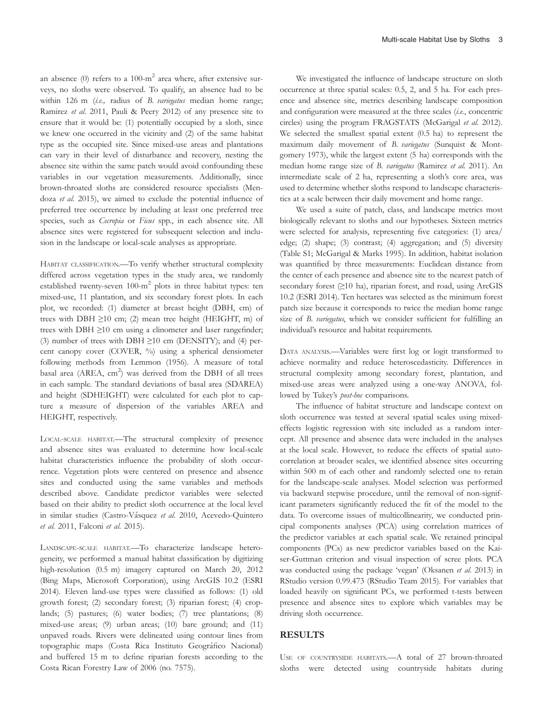an absence  $(0)$  refers to a 100-m<sup>2</sup> area where, after extensive surveys, no sloths were observed. To qualify, an absence had to be within 126 m (i.e., radius of B. variegatus median home range; Ramirez et al. 2011, Pauli & Peery 2012) of any presence site to ensure that it would be: (1) potentially occupied by a sloth, since we knew one occurred in the vicinity and (2) of the same habitat type as the occupied site. Since mixed-use areas and plantations can vary in their level of disturbance and recovery, nesting the absence site within the same patch would avoid confounding these variables in our vegetation measurements. Additionally, since brown-throated sloths are considered resource specialists (Mendoza et al. 2015), we aimed to exclude the potential influence of preferred tree occurrence by including at least one preferred tree species, such as *Cecropia* or Ficus spp., in each absence site. All absence sites were registered for subsequent selection and inclusion in the landscape or local-scale analyses as appropriate.

HABITAT CLASSIFICATION.—To verify whether structural complexity differed across vegetation types in the study area, we randomly established twenty-seven 100-m<sup>2</sup> plots in three habitat types: ten mixed-use, 11 plantation, and six secondary forest plots. In each plot, we recorded: (1) diameter at breast height (DBH, cm) of trees with DBH  $\geq$ 10 cm; (2) mean tree height (HEIGHT, m) of trees with DBH ≥10 cm using a clinometer and laser rangefinder; (3) number of trees with DBH  $\geq$ 10 cm (DENSITY); and (4) percent canopy cover (COVER, %) using a spherical densiometer following methods from Lemmon (1956). A measure of total basal area (AREA,  $\text{cm}^2$ ) was derived from the DBH of all trees in each sample. The standard deviations of basal area (SDAREA) and height (SDHEIGHT) were calculated for each plot to capture a measure of dispersion of the variables AREA and HEIGHT, respectively.

LOCAL-SCALE HABITAT.—The structural complexity of presence and absence sites was evaluated to determine how local-scale habitat characteristics influence the probability of sloth occurrence. Vegetation plots were centered on presence and absence sites and conducted using the same variables and methods described above. Candidate predictor variables were selected based on their ability to predict sloth occurrence at the local level in similar studies (Castro-Vásquez et al. 2010, Acevedo-Quintero et al. 2011, Falconi et al. 2015).

LANDSCAPE-SCALE HABITAT.—To characterize landscape heterogeneity, we performed a manual habitat classification by digitizing high-resolution (0.5 m) imagery captured on March 20, 2012 (Bing Maps, Microsoft Corporation), using ArcGIS 10.2 (ESRI 2014). Eleven land-use types were classified as follows: (1) old growth forest; (2) secondary forest; (3) riparian forest; (4) croplands; (5) pastures; (6) water bodies; (7) tree plantations; (8) mixed-use areas; (9) urban areas; (10) bare ground; and (11) unpaved roads. Rivers were delineated using contour lines from topographic maps (Costa Rica Instituto Geografico Nacional) and buffered 15 m to define riparian forests according to the Costa Rican Forestry Law of 2006 (no. 7575).

We investigated the influence of landscape structure on sloth occurrence at three spatial scales: 0.5, 2, and 5 ha. For each presence and absence site, metrics describing landscape composition and configuration were measured at the three scales (i.e., concentric circles) using the program FRAGSTATS (McGarigal et al. 2012). We selected the smallest spatial extent (0.5 ha) to represent the maximum daily movement of B. variegatus (Sunquist & Montgomery 1973), while the largest extent (5 ha) corresponds with the median home range size of B. variegatus (Ramirez et al. 2011). An intermediate scale of 2 ha, representing a sloth's core area, was used to determine whether sloths respond to landscape characteristics at a scale between their daily movement and home range.

We used a suite of patch, class, and landscape metrics most biologically relevant to sloths and our hypotheses. Sixteen metrics were selected for analysis, representing five categories: (1) area/ edge; (2) shape; (3) contrast; (4) aggregation; and (5) diversity (Table S1; McGarigal & Marks 1995). In addition, habitat isolation was quantified by three measurements: Euclidean distance from the center of each presence and absence site to the nearest patch of secondary forest (≥10 ha), riparian forest, and road, using ArcGIS 10.2 (ESRI 2014). Ten hectares was selected as the minimum forest patch size because it corresponds to twice the median home range size of B. variegatus, which we consider sufficient for fulfilling an individual's resource and habitat requirements.

DATA ANALYSIS.—Variables were first log or logit transformed to achieve normality and reduce heteroscedasticity. Differences in structural complexity among secondary forest, plantation, and mixed-use areas were analyzed using a one-way ANOVA, followed by Tukey's *post-hoc* comparisons.

The influence of habitat structure and landscape context on sloth occurrence was tested at several spatial scales using mixedeffects logistic regression with site included as a random intercept. All presence and absence data were included in the analyses at the local scale. However, to reduce the effects of spatial autocorrelation at broader scales, we identified absence sites occurring within 500 m of each other and randomly selected one to retain for the landscape-scale analyses. Model selection was performed via backward stepwise procedure, until the removal of non-significant parameters significantly reduced the fit of the model to the data. To overcome issues of multicollinearity, we conducted principal components analyses (PCA) using correlation matrices of the predictor variables at each spatial scale. We retained principal components (PCs) as new predictor variables based on the Kaiser-Guttman criterion and visual inspection of scree plots. PCA was conducted using the package 'vegan' (Oksanen et al. 2013) in RStudio version 0.99.473 (RStudio Team 2015). For variables that loaded heavily on significant PCs, we performed t-tests between presence and absence sites to explore which variables may be driving sloth occurrence.

### RESULTS

USE OF COUNTRYSIDE HABITATS.—A total of 27 brown-throated sloths were detected using countryside habitats during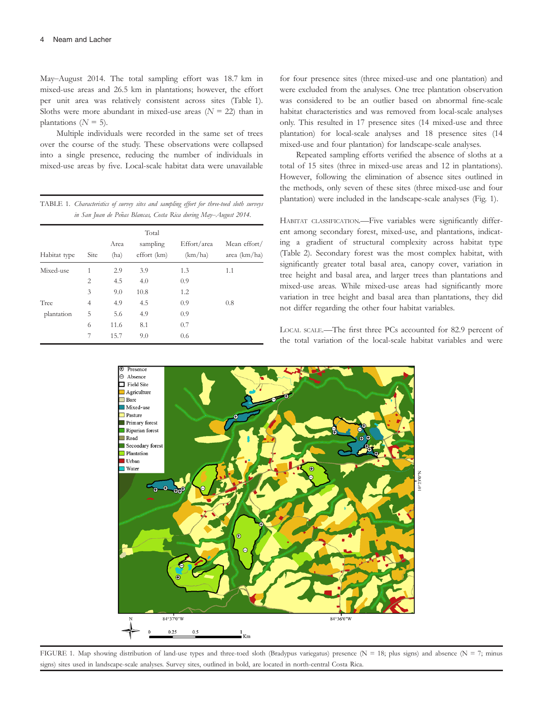May–August 2014. The total sampling effort was 18.7 km in mixed-use areas and 26.5 km in plantations; however, the effort per unit area was relatively consistent across sites (Table 1). Sloths were more abundant in mixed-use areas  $(N = 22)$  than in plantations ( $N = 5$ ).

Multiple individuals were recorded in the same set of trees over the course of the study. These observations were collapsed into a single presence, reducing the number of individuals in mixed-use areas by five. Local-scale habitat data were unavailable

TABLE 1. Characteristics of survey sites and sampling effort for three-toed sloth surveys in San Juan de Peñas Blancas, Costa Rica during May-August 2014.

| Habitat type | Site           | Area<br>(ha) | Total<br>sampling<br>effort (km) | Effort/area<br>(km/ha) | Mean effort/<br>area $(km/ha)$ |
|--------------|----------------|--------------|----------------------------------|------------------------|--------------------------------|
| Mixed-use    | 1              | 2.9          | 3.9                              | 1.3                    | 1.1                            |
|              | $\overline{2}$ | 4.5          | 4.0                              | 0.9                    |                                |
|              | 3              | 9.0          | 10.8                             | 1.2                    |                                |
| Tree         | $\overline{4}$ | 4.9          | 4.5                              | 0.9                    | 0.8                            |
| plantation   | 5              | 5.6          | 4.9                              | 0.9                    |                                |
|              | 6              | 11.6         | 8.1                              | 0.7                    |                                |
|              | 7              | 15.7         | 9.0                              | 0.6                    |                                |

for four presence sites (three mixed-use and one plantation) and were excluded from the analyses. One tree plantation observation was considered to be an outlier based on abnormal fine-scale habitat characteristics and was removed from local-scale analyses only. This resulted in 17 presence sites (14 mixed-use and three plantation) for local-scale analyses and 18 presence sites (14 mixed-use and four plantation) for landscape-scale analyses.

Repeated sampling efforts verified the absence of sloths at a total of 15 sites (three in mixed-use areas and 12 in plantations). However, following the elimination of absence sites outlined in the methods, only seven of these sites (three mixed-use and four plantation) were included in the landscape-scale analyses (Fig. 1).

HABITAT CLASSIFICATION.—Five variables were significantly different among secondary forest, mixed-use, and plantations, indicating a gradient of structural complexity across habitat type (Table 2). Secondary forest was the most complex habitat, with significantly greater total basal area, canopy cover, variation in tree height and basal area, and larger trees than plantations and mixed-use areas. While mixed-use areas had significantly more variation in tree height and basal area than plantations, they did not differ regarding the other four habitat variables.

LOCAL SCALE.—The first three PCs accounted for 82.9 percent of the total variation of the local-scale habitat variables and were



FIGURE 1. Map showing distribution of land-use types and three-toed sloth (Bradypus variegatus) presence (N = 18; plus signs) and absence (N = 7; minus signs) sites used in landscape-scale analyses. Survey sites, outlined in bold, are located in north-central Costa Rica.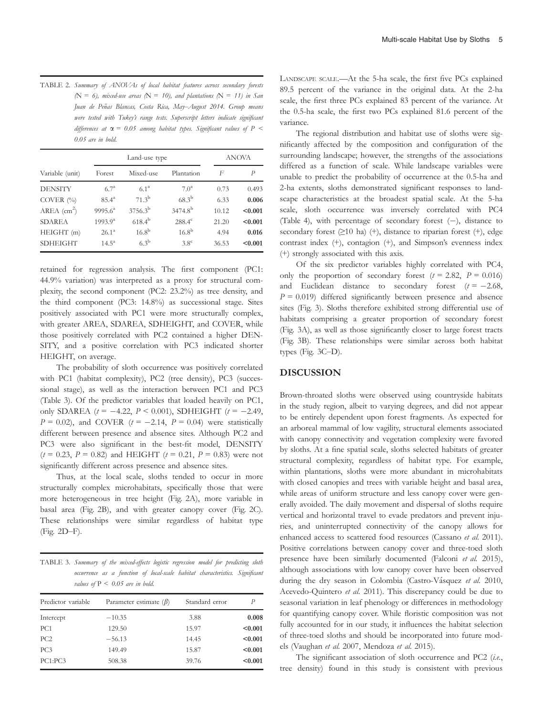TABLE 2. Summary of ANOVAs of local habitat features across secondary forests  $(N = 6)$ , mixed-use areas  $(N = 10)$ , and plantations  $(N = 11)$  in San Juan de Peñas Blancas, Costa Rica, May-August 2014. Group means were tested with Tukey's range tests. Superscript letters indicate significant differences at  $\alpha$  = 0.05 among habitat types. Significant values of P < 0.05 are in bold.

|                           |                  | Land-use type    | <b>ANOVA</b>        |              |               |
|---------------------------|------------------|------------------|---------------------|--------------|---------------|
| Variable (unit)           | Forest           | Mixed-use        | Plantation          | $\mathsf{F}$ | $\mathcal{P}$ |
| <b>DENSITY</b>            | $6.7^{\rm a}$    | $6.1^{\rm a}$    | 7.0 <sup>a</sup>    | 0.73         | 0.493         |
| COVER $(\%$               | $85.4^{\circ}$   | $71.3^{\rm b}$   | $68.3^{b}$          | 6.33         | 0.006         |
| $AREA$ (cm <sup>2</sup> ) | $9995.6^{\circ}$ | $3756.3^{\rm b}$ | 3474.8 <sup>b</sup> | 10.12        | < 0.001       |
| <b>SDAREA</b>             | $1993.9^{a}$     | $618.4^{b}$      | $288.4^{\circ}$     | 21.20        | < 0.001       |
| HEIGHT (m)                | $26.1^{\circ}$   | $16.8^{b}$       | $16.8^{b}$          | 4.94         | 0.016         |
| <b>SDHEIGHT</b>           | $14.5^{\circ}$   | $6.3^{\rm b}$    | 3.8 <sup>c</sup>    | 36.53        | < 0.001       |

retained for regression analysis. The first component (PC1: 44.9% variation) was interpreted as a proxy for structural complexity, the second component (PC2: 23.2%) as tree density, and the third component (PC3: 14.8%) as successional stage. Sites positively associated with PC1 were more structurally complex, with greater AREA, SDAREA, SDHEIGHT, and COVER, while those positively correlated with PC2 contained a higher DEN-SITY, and a positive correlation with PC3 indicated shorter HEIGHT, on average.

The probability of sloth occurrence was positively correlated with PC1 (habitat complexity), PC2 (tree density), PC3 (successional stage), as well as the interaction between PC1 and PC3 (Table 3). Of the predictor variables that loaded heavily on PC1, only SDAREA  $(t = -4.22, P < 0.001)$ , SDHEIGHT  $(t = -2.49,$  $P = 0.02$ ), and COVER ( $t = -2.14$ ,  $P = 0.04$ ) were statistically different between presence and absence sites. Although PC2 and PC3 were also significant in the best-fit model, DENSITY  $(t = 0.23, P = 0.82)$  and HEIGHT  $(t = 0.21, P = 0.83)$  were not significantly different across presence and absence sites.

Thus, at the local scale, sloths tended to occur in more structurally complex microhabitats, specifically those that were more heterogeneous in tree height (Fig. 2A), more variable in basal area (Fig. 2B), and with greater canopy cover (Fig. 2C). These relationships were similar regardless of habitat type (Fig. 2D–F).

TABLE 3. Summary of the mixed-effects logistic regression model for predicting sloth occurrence as a function of local-scale habitat characteristics. Significant values of  $P < 0.05$  are in bold.

| Predictor variable | Parameter estimate $(\beta)$ | Standard error | P       |
|--------------------|------------------------------|----------------|---------|
| Intercept          | $-10.35$                     | 3.88           | 0.008   |
| PC <sub>1</sub>    | 129.50                       | 15.97          | < 0.001 |
| PC2                | $-56.13$                     | 14.45          | < 0.001 |
| PC <sub>3</sub>    | 149.49                       | 15.87          | < 0.001 |
| PC1:PC3            | 508.38                       | 39.76          | < 0.001 |

LANDSCAPE SCALE.—At the 5-ha scale, the first five PCs explained 89.5 percent of the variance in the original data. At the 2-ha scale, the first three PCs explained 83 percent of the variance. At the 0.5-ha scale, the first two PCs explained 81.6 percent of the variance.

The regional distribution and habitat use of sloths were significantly affected by the composition and configuration of the surrounding landscape; however, the strengths of the associations differed as a function of scale. While landscape variables were unable to predict the probability of occurrence at the 0.5-ha and 2-ha extents, sloths demonstrated significant responses to landscape characteristics at the broadest spatial scale. At the 5-ha scale, sloth occurrence was inversely correlated with PC4 (Table 4), with percentage of secondary forest (-), distance to secondary forest  $(≥10$  ha)  $(+)$ , distance to riparian forest  $(+)$ , edge contrast index (+), contagion (+), and Simpson's evenness index (+) strongly associated with this axis.

Of the six predictor variables highly correlated with PC4, only the proportion of secondary forest  $(t = 2.82, P = 0.016)$ and Euclidean distance to secondary forest  $(t = -2.68,$  $P = 0.019$ ) differed significantly between presence and absence sites (Fig. 3). Sloths therefore exhibited strong differential use of habitats comprising a greater proportion of secondary forest (Fig. 3A), as well as those significantly closer to large forest tracts (Fig. 3B). These relationships were similar across both habitat types (Fig. 3C–D).

### DISCUSSION

Brown-throated sloths were observed using countryside habitats in the study region, albeit to varying degrees, and did not appear to be entirely dependent upon forest fragments. As expected for an arboreal mammal of low vagility, structural elements associated with canopy connectivity and vegetation complexity were favored by sloths. At a fine spatial scale, sloths selected habitats of greater structural complexity, regardless of habitat type. For example, within plantations, sloths were more abundant in microhabitats with closed canopies and trees with variable height and basal area, while areas of uniform structure and less canopy cover were generally avoided. The daily movement and dispersal of sloths require vertical and horizontal travel to evade predators and prevent injuries, and uninterrupted connectivity of the canopy allows for enhanced access to scattered food resources (Cassano et al. 2011). Positive correlations between canopy cover and three-toed sloth presence have been similarly documented (Falconi et al. 2015), although associations with low canopy cover have been observed during the dry season in Colombia (Castro-Vásquez et al. 2010, Acevedo-Quintero et al. 2011). This discrepancy could be due to seasonal variation in leaf phenology or differences in methodology for quantifying canopy cover. While floristic composition was not fully accounted for in our study, it influences the habitat selection of three-toed sloths and should be incorporated into future models (Vaughan et al. 2007, Mendoza et al. 2015).

The significant association of sloth occurrence and PC2 (i.e., tree density) found in this study is consistent with previous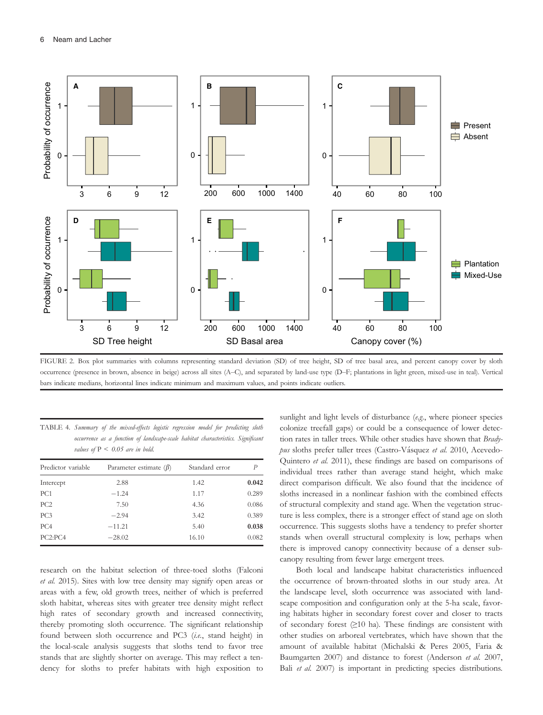

FIGURE 2. Box plot summaries with columns representing standard deviation (SD) of tree height, SD of tree basal area, and percent canopy cover by sloth occurrence (presence in brown, absence in beige) across all sites (A–C), and separated by land-use type (D–F; plantations in light green, mixed-use in teal). Vertical bars indicate medians, horizontal lines indicate minimum and maximum values, and points indicate outliers.

| TABLE 4. Summary of the mixed-effects logistic regression model for predicting sloth |                                                                                  |  |  |  |  |  |
|--------------------------------------------------------------------------------------|----------------------------------------------------------------------------------|--|--|--|--|--|
|                                                                                      | occurrence as a function of landscape-scale habitat characteristics. Significant |  |  |  |  |  |
|                                                                                      | values of $P \leq 0.05$ are in bold.                                             |  |  |  |  |  |

| Predictor variable | Parameter estimate $(\beta)$ | Standard error | Р     |
|--------------------|------------------------------|----------------|-------|
| Intercept          | 2.88                         | 1.42           | 0.042 |
| PC <sub>1</sub>    | $-1.24$                      | 1.17           | 0.289 |
| PC <sub>2</sub>    | 7.50                         | 4.36           | 0.086 |
| PC <sub>3</sub>    | $-2.94$                      | 3.42           | 0.389 |
| PC <sub>4</sub>    | $-11.21$                     | 5.40           | 0.038 |
| PC2:PC4            | $-28.02$                     | 16.10          | 0.082 |

research on the habitat selection of three-toed sloths (Falconi et al. 2015). Sites with low tree density may signify open areas or areas with a few, old growth trees, neither of which is preferred sloth habitat, whereas sites with greater tree density might reflect high rates of secondary growth and increased connectivity, thereby promoting sloth occurrence. The significant relationship found between sloth occurrence and PC3 (i.e., stand height) in the local-scale analysis suggests that sloths tend to favor tree stands that are slightly shorter on average. This may reflect a tendency for sloths to prefer habitats with high exposition to

sunlight and light levels of disturbance (e.g., where pioneer species colonize treefall gaps) or could be a consequence of lower detection rates in taller trees. While other studies have shown that Bradypus sloths prefer taller trees (Castro-Vásquez et al. 2010, Acevedo-Quintero et al. 2011), these findings are based on comparisons of individual trees rather than average stand height, which make direct comparison difficult. We also found that the incidence of sloths increased in a nonlinear fashion with the combined effects of structural complexity and stand age. When the vegetation structure is less complex, there is a stronger effect of stand age on sloth occurrence. This suggests sloths have a tendency to prefer shorter stands when overall structural complexity is low, perhaps when there is improved canopy connectivity because of a denser subcanopy resulting from fewer large emergent trees.

Both local and landscape habitat characteristics influenced the occurrence of brown-throated sloths in our study area. At the landscape level, sloth occurrence was associated with landscape composition and configuration only at the 5-ha scale, favoring habitats higher in secondary forest cover and closer to tracts of secondary forest  $(≥10$  ha). These findings are consistent with other studies on arboreal vertebrates, which have shown that the amount of available habitat (Michalski & Peres 2005, Faria & Baumgarten 2007) and distance to forest (Anderson et al. 2007, Bali et al. 2007) is important in predicting species distributions.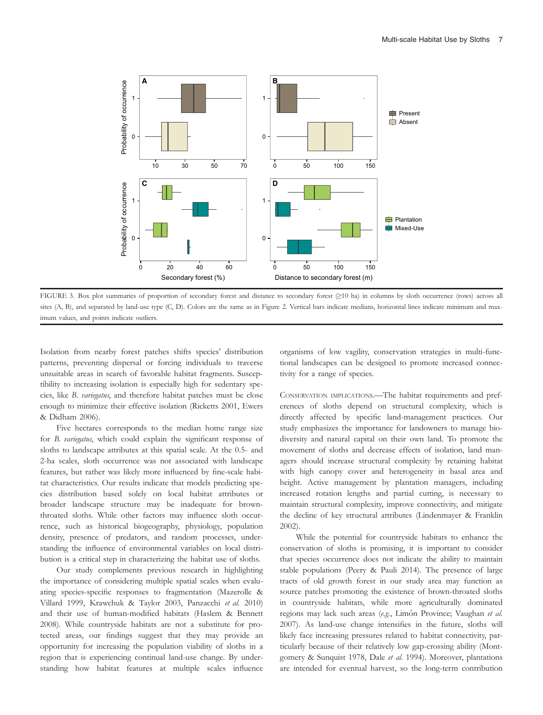

FIGURE 3. Box plot summaries of proportion of secondary forest and distance to secondary forest (≥10 ha) in columns by sloth occurrence (rows) across all sites (A, B), and separated by land-use type (C, D). Colors are the same as in Figure 2. Vertical bars indicate medians, horizontal lines indicate minimum and maximum values, and points indicate outliers.

Isolation from nearby forest patches shifts species' distribution patterns, preventing dispersal or forcing individuals to traverse unsuitable areas in search of favorable habitat fragments. Susceptibility to increasing isolation is especially high for sedentary species, like B. variegatus, and therefore habitat patches must be close enough to minimize their effective isolation (Ricketts 2001, Ewers & Didham 2006).

Five hectares corresponds to the median home range size for B. variegatus, which could explain the significant response of sloths to landscape attributes at this spatial scale. At the 0.5- and 2-ha scales, sloth occurrence was not associated with landscape features, but rather was likely more influenced by fine-scale habitat characteristics. Our results indicate that models predicting species distribution based solely on local habitat attributes or broader landscape structure may be inadequate for brownthroated sloths. While other factors may influence sloth occurrence, such as historical biogeography, physiology, population density, presence of predators, and random processes, understanding the influence of environmental variables on local distribution is a critical step in characterizing the habitat use of sloths.

Our study complements previous research in highlighting the importance of considering multiple spatial scales when evaluating species-specific responses to fragmentation (Mazerolle & Villard 1999, Krawchuk & Taylor 2003, Panzacchi et al. 2010) and their use of human-modified habitats (Haslem & Bennett 2008). While countryside habitats are not a substitute for protected areas, our findings suggest that they may provide an opportunity for increasing the population viability of sloths in a region that is experiencing continual land-use change. By understanding how habitat features at multiple scales influence organisms of low vagility, conservation strategies in multi-functional landscapes can be designed to promote increased connectivity for a range of species.

CONSERVATION IMPLICATIONS.—The habitat requirements and preferences of sloths depend on structural complexity, which is directly affected by specific land-management practices. Our study emphasizes the importance for landowners to manage biodiversity and natural capital on their own land. To promote the movement of sloths and decrease effects of isolation, land managers should increase structural complexity by retaining habitat with high canopy cover and heterogeneity in basal area and height. Active management by plantation managers, including increased rotation lengths and partial cutting, is necessary to maintain structural complexity, improve connectivity, and mitigate the decline of key structural attributes (Lindenmayer & Franklin 2002).

While the potential for countryside habitats to enhance the conservation of sloths is promising, it is important to consider that species occurrence does not indicate the ability to maintain stable populations (Peery & Pauli 2014). The presence of large tracts of old growth forest in our study area may function as source patches promoting the existence of brown-throated sloths in countryside habitats, while more agriculturally dominated regions may lack such areas (e.g., Limón Province; Vaughan et al. 2007). As land-use change intensifies in the future, sloths will likely face increasing pressures related to habitat connectivity, particularly because of their relatively low gap-crossing ability (Montgomery & Sunquist 1978, Dale et al. 1994). Moreover, plantations are intended for eventual harvest, so the long-term contribution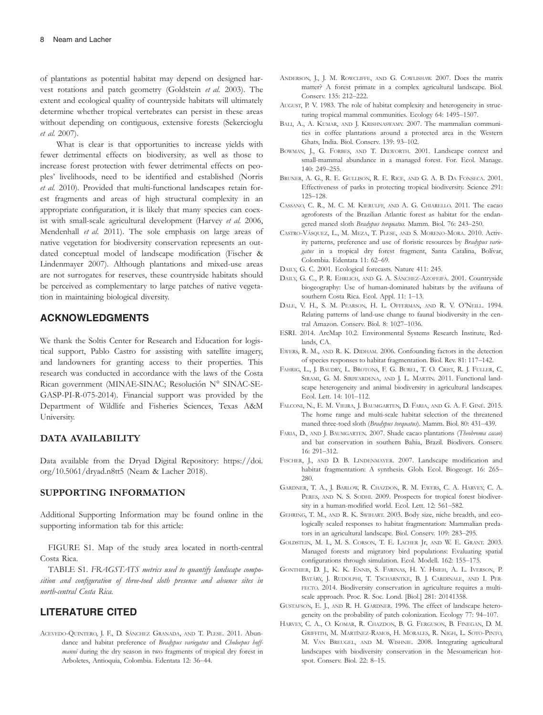of plantations as potential habitat may depend on designed harvest rotations and patch geometry (Goldstein et al. 2003). The extent and ecological quality of countryside habitats will ultimately determine whether tropical vertebrates can persist in these areas without depending on contiguous, extensive forests (Sekercioglu et al. 2007).

What is clear is that opportunities to increase yields with fewer detrimental effects on biodiversity, as well as those to increase forest protection with fewer detrimental effects on peoples' livelihoods, need to be identified and established (Norris et al. 2010). Provided that multi-functional landscapes retain forest fragments and areas of high structural complexity in an appropriate configuration, it is likely that many species can coexist with small-scale agricultural development (Harvey et al. 2006, Mendenhall et al. 2011). The sole emphasis on large areas of native vegetation for biodiversity conservation represents an outdated conceptual model of landscape modification (Fischer & Lindenmayer 2007). Although plantations and mixed-use areas are not surrogates for reserves, these countryside habitats should be perceived as complementary to large patches of native vegetation in maintaining biological diversity.

## ACKNOWLEDGMENTS

We thank the Soltis Center for Research and Education for logistical support, Pablo Castro for assisting with satellite imagery, and landowners for granting access to their properties. This research was conducted in accordance with the laws of the Costa Rican government (MINAE-SINAC; Resolución Nº SINAC-SE-GASP-PI-R-075-2014). Financial support was provided by the Department of Wildlife and Fisheries Sciences, Texas A&M University.

### DATA AVAILABILITY

Data available from the Dryad Digital Repository: [https://doi.](https://doi.org/10.5061/dryad.n8tt5) [org/10.5061/dryad.n8tt5](https://doi.org/10.5061/dryad.n8tt5) (Neam & Lacher 2018).

### SUPPORTING INFORMATION

Additional Supporting Information may be found online in the supporting information tab for this article:

FIGURE S1. Map of the study area located in north-central Costa Rica.

TABLE S1. FRAGSTATS metrics used to quantify landscape composition and configuration of three-toed sloth presence and absence sites in north-central Costa Rica.

### LITERATURE CITED

ACEVEDO-QUINTERO, J. F., D. SANCHEZ GRANADA, AND T. PLESE. 2011. Abundance and habitat preference of Bradypus variegatus and Choloepus hoffmanni during the dry season in two fragments of tropical dry forest in Arboletes, Antioquia, Colombia. Edentata 12: 36–44.

- ANDERSON, J., J. M. ROWCLIFFE, AND G. COWLISHAW. 2007. Does the matrix matter? A forest primate in a complex agricultural landscape. Biol. Conserv. 135: 212–222.
- AUGUST, P. V. 1983. The role of habitat complexity and heterogeneity in structuring tropical mammal communities. Ecology 64: 1495–1507.
- BALI, A., A. KUMAR, AND J. KRISHNASWAMY. 2007. The mammalian communities in coffee plantations around a protected area in the Western Ghats, India. Biol. Conserv. 139: 93–102.
- BOWMAN, J., G. FORBES, AND T. DILWORTH. 2001. Landscape context and small-mammal abundance in a managed forest. For. Ecol. Manage. 140: 249–255.
- BRUNER, A. G., R. E. GULLISON, R. E. RICE, AND G. A. B. DA FONSECA. 2001. Effectiveness of parks in protecting tropical biodiversity. Science 291: 125–128.
- CASSANO, C. R., M. C. M. KIERULFF, AND A. G. CHIARELLO. 2011. The cacao agroforests of the Brazilian Atlantic forest as habitat for the endangered maned sloth Bradypus torquatus. Mamm. Biol. 76: 243–250.
- CASTRO-VÁSQUEZ, L., M. MEZA, T. PLESE, AND S. MORENO-MORA. 2010. Activity patterns, preference and use of floristic resources by Bradypus variegatus in a tropical dry forest fragment, Santa Catalina, Bolívar, Colombia. Edentata 11: 62–69.
- DAILY, G. C. 2001. Ecological forecasts. Nature 411: 245.
- DAILY, G. C., P. R. EHRLICH, AND G. A. SÁNCHEZ-AZOFEIFA. 2001. Countryside biogeography: Use of human-dominated habitats by the avifauna of southern Costa Rica. Ecol. Appl. 11: 1–13.
- DALE, V. H., S. M. PEARSON, H. L. OFFERMAN, AND R. V. O'NEILL. 1994. Relating patterns of land-use change to faunal biodiversity in the central Amazon. Conserv. Biol. 8: 1027–1036.
- ESRI. 2014. ArcMap 10.2. Environmental Systems Research Institute, Redlands, CA.
- EWERS, R. M., AND R. K. DIDHAM. 2006. Confounding factors in the detection of species responses to habitat fragmentation. Biol. Rev. 81: 117–142.
- FAHRIG, L., J. BAUDRY, L. BROTONS, F. G. BUREL, T. O. CRIST, R. J. FULLER, C. SIRAMI, G. M. SIRIWARDENA, AND J. L. MARTIN. 2011. Functional landscape heterogeneity and animal biodiversity in agricultural landscapes. Ecol. Lett. 14: 101–112.
- FALCONI, N., E. M. VIEIRA, J. BAUMGARTEN, D. FARIA, AND G. A. F. GINE. 2015. The home range and multi-scale habitat selection of the threatened maned three-toed sloth (Bradypus torquatus). Mamm. Biol. 80: 431–439.
- FARIA, D., AND J. BAUMGARTEN. 2007. Shade cacao plantations (Theobroma cacao) and bat conservation in southern Bahia, Brazil. Biodivers. Conserv. 16: 291–312.
- FISCHER, J., AND D. B. LINDENMAYER. 2007. Landscape modification and habitat fragmentation: A synthesis. Glob. Ecol. Biogeogr. 16: 265– 280.
- GARDNER, T. A., J. BARLOW, R. CHAZDON, R. M. EWERS, C. A. HARVEY, C. A. PERES, AND N. S. SODHI. 2009. Prospects for tropical forest biodiversity in a human-modified world. Ecol. Lett. 12: 561–582.
- GEHRING, T. M., AND R. K. SWIHART. 2003. Body size, niche breadth, and ecologically scaled responses to habitat fragmentation: Mammalian predators in an agricultural landscape. Biol. Conserv. 109: 283–295.
- GOLDSTEIN, M. I., M. S. CORSON, T. E. LACHER Jr, AND W. E. GRANT. 2003. Managed forests and migratory bird populations: Evaluating spatial configurations through simulation. Ecol. Modell. 162: 155–175.
- GONTHIER, D. J., K. K. ENNIS, S. FARINAS, H. Y. HSIEH, A. L. IVERSON, P. BATÁRY, J. RUDOLPHI, T. TSCHARNTKE, B. J. CARDINALE, AND I. PER-FECTO. 2014. Biodiversity conservation in agriculture requires a multiscale approach. Proc. R. Soc. Lond. [Biol.] 281: 20141358.
- GUSTAFSON, E. J., AND R. H. GARDNER. 1996. The effect of landscape heterogeneity on the probability of patch colonization. Ecology 77: 94–107.
- HARVEY, C. A., O. KOMAR, R. CHAZDON, B. G. FERGUSON, B. FINEGAN, D. M. GRIFFITH, M. MARTINEZ-RAMOS, H. MORALES, R. NIGH, L. SOTO-PINTO, M. VAN BREUGEL, AND M. WISHNIE. 2008. Integrating agricultural landscapes with biodiversity conservation in the Mesoamerican hotspot. Conserv. Biol. 22: 8–15.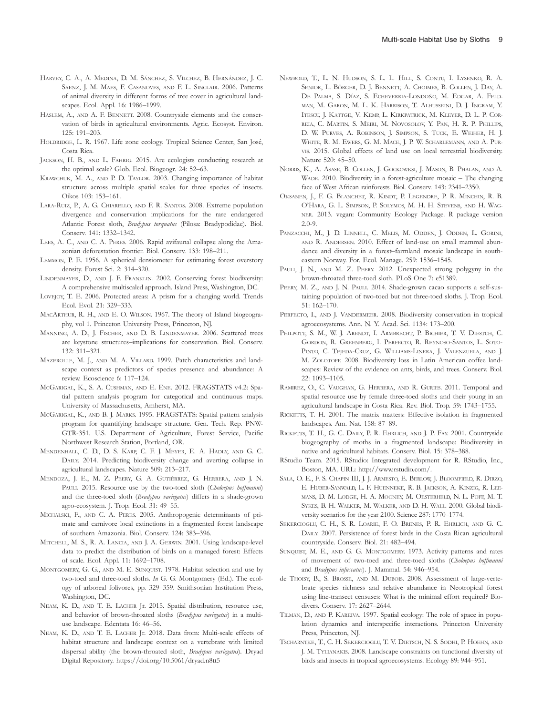- HARVEY, C. A., A. MEDINA, D. M. SÁNCHEZ, S. VÍLCHEZ, B. HERNÁNDEZ, J. C. SAENZ, J. M. MAES, F. CASANOVES, AND F. L. SINCLAIR. 2006. Patterns of animal diversity in different forms of tree cover in agricultural landscapes. Ecol. Appl. 16: 1986–1999.
- HASLEM, A., AND A. F. BENNETT. 2008. Countryside elements and the conservation of birds in agricultural environments. Agric. Ecosyst. Environ. 125: 191–203.
- HOLDRIDGE, L. R. 1967. Life zone ecology. Tropical Science Center, San Jose, Costa Rica.
- JACKSON, H. B., AND L. FAHRIG. 2015. Are ecologists conducting research at the optimal scale? Glob. Ecol. Biogeogr. 24: 52–63.
- KRAWCHUK, M. A., AND P. D. TAYLOR. 2003. Changing importance of habitat structure across multiple spatial scales for three species of insects. Oikos 103: 153–161.
- LARA-RUIZ, P., A. G. CHIARELLO, AND F. R. SANTOS. 2008. Extreme population divergence and conservation implications for the rare endangered Atlantic Forest sloth, Bradypus torquatus (Pilosa: Bradypodidae). Biol. Conserv. 141: 1332–1342.
- LEES, A. C., AND C. A. PERES. 2006. Rapid avifaunal collapse along the Amazonian deforestation frontier. Biol. Conserv. 133: 198–211.
- LEMMON, P. E. 1956. A spherical densiometer for estimating forest overstory density. Forest Sci. 2: 314–320.
- LINDENMAYER, D., AND J. F. FRANKLIN. 2002. Conserving forest biodiversity: A comprehensive multiscaled approach. Island Press, Washington, DC.
- LOVEJOY, T. E. 2006. Protected areas: A prism for a changing world. Trends Ecol. Evol. 21: 329–333.
- MACARTHUR, R. H., AND E. O. WILSON. 1967. The theory of Island biogeography, vol 1. Princeton University Press, Princeton, NJ.
- MANNING, A. D., J. FISCHER, AND D. B. LINDENMAYER. 2006. Scattered trees are keystone structures–implications for conservation. Biol. Conserv. 132: 311–321.
- MAZEROLLE, M. J., AND M. A. VILLARD. 1999. Patch characteristics and landscape context as predictors of species presence and abundance: A review. Ecoscience 6: 117–124.
- MCGARIGAL, K., S. A. CUSHMAN, AND E. ENE. 2012. FRAGSTATS v4.2: Spatial pattern analysis program for categorical and continuous maps. University of Massachusetts, Amherst, MA.
- MCGARIGAL, K., AND B. J. MARKS. 1995. FRAGSTATS: Spatial pattern analysis program for quantifying landscape structure. Gen. Tech. Rep. PNW-GTR-351. U.S. Department of Agriculture, Forest Service, Pacific Northwest Research Station, Portland, OR.
- MENDENHALL, C. D., D. S. KARP, C. F. J. MEYER, E. A. HADLY, AND G. C. DAILY. 2014. Predicting biodiversity change and averting collapse in agricultural landscapes. Nature 509: 213–217.
- MENDOZA, J. E., M. Z. PEERY, G. A. GUTIÉRREZ, G. HERRERA, AND J. N. PAULI. 2015. Resource use by the two-toed sloth (Choloepus hoffmanni) and the three-toed sloth (Bradypus variegatus) differs in a shade-grown agro-ecosystem. J. Trop. Ecol. 31: 49–55.
- MICHALSKI, F., AND C. A. PERES. 2005. Anthropogenic determinants of primate and carnivore local extinctions in a fragmented forest landscape of southern Amazonia. Biol. Conserv. 124: 383–396.
- MITCHELL, M. S., R. A. LANCIA, AND J. A. GERWIN. 2001. Using landscape-level data to predict the distribution of birds on a managed forest: Effects of scale. Ecol. Appl. 11: 1692–1708.
- MONTGOMERY, G. G., AND M. E. SUNQUIST. 1978. Habitat selection and use by two-toed and three-toed sloths. In G. G. Montgomery (Ed.). The ecology of arboreal folivores, pp. 329–359. Smithsonian Institution Press, Washington, DC.
- NEAM, K. D., AND T. E. LACHER Jr. 2015. Spatial distribution, resource use, and behavior of brown-throated sloths (Bradypus variegatus) in a multiuse landscape. Edentata 16: 46–56.
- NEAM, K. D., AND T. E. LACHER Jr. 2018. Data from: Multi-scale effects of habitat structure and landscape context on a vertebrate with limited dispersal ability (the brown-throated sloth, Bradypus variegatus). Dryad Digital Repository.<https://doi.org/10.5061/dryad.n8tt5>
- NEWBOLD, T., L. N. HUDSON, S. L. L. HILL, S. CONTU, I. LYSENKO, R. A. SENIOR, L. BÖRGER, D. J. BENNETT, A. CHOIMES, B. COLLEN, J. DAY, A. DE PALMA, S. DÍAZ, S. ECHEVERRIA-LONDOÑO, M. EDGAR, A. FELD-MAN, M. GARON, M. L. K. HARRISON, T. ALHUSSEINI, D. J. INGRAM, Y. ITESCU, J. KATTGE, V. KEMP, L. KIRKPATRICK, M. KLEYER, D. L. P. COR-REIA, C. MARTIN, S. MEIRI, M. NOVOSOLOV, Y. PAN, H. R. P. PHILLIPS, D. W. PURVES, A. ROBINSON, J. SIMPSON, S. TUCK, E. WEIHER, H. J. WHITE, R. M. EWERS, G. M. MACE, J. P. W. SCHARLEMANN, AND A. PUR-VIS. 2015. Global effects of land use on local terrestrial biodiversity. Nature 520: 45–50.
- NORRIS, K., A. ASASE, B. COLLEN, J. GOCKOWKSI, J. MASON, B. PHALAN, AND A. WADE. 2010. Biodiversity in a forest-agriculture mosaic – The changing face of West African rainforests. Biol. Conserv. 143: 2341–2350.
- OKSANEN, J., F. G. BLANCHET, R. KINDT, P. LEGENDRE, P. R. MINCHIN, R. B. O'HARA, G. L. SIMPSON, P. SOLYMOS, M. H. H. STEVENS, AND H. WAG-NER. 2013. vegan: Community Ecology Package. R package version 2.0-9.
- PANZACCHI, M., J. D. LINNELL, C. MELIS, M. ODDEN, J. ODDEN, L. GORINI, AND R. ANDERSEN. 2010. Effect of land-use on small mammal abundance and diversity in a forest–farmland mosaic landscape in southeastern Norway. For. Ecol. Manage. 259: 1536–1545.
- PAULI, J. N., AND M. Z. PEERY. 2012. Unexpected strong polygyny in the brown-throated three-toed sloth. PLoS One 7: e51389.
- PEERY, M. Z., AND J. N. PAULI. 2014. Shade-grown cacao supports a self-sustaining population of two-toed but not three-toed sloths. J. Trop. Ecol. 51: 162–170.
- PERFECTO, I., AND J. VANDERMEER. 2008. Biodiversity conservation in tropical agroecosystems. Ann. N. Y. Acad. Sci. 1134: 173–200.
- PHILPOTT, S. M., W. J. ARENDT, I. ARMBRECHT, P. BICHIER, T. V. DIESTCH, C. GORDON, R. GREENBERG, I. PERFECTO, R. REYNOSO-SANTOS, L. SOTO-PINTO, C. TEJEDA-CRUZ, G. WILLIAMS-LINERA, J. VALENZUELA, AND J. M. ZOLOTOFF. 2008. Biodiversity loss in Latin American coffee landscapes: Review of the evidence on ants, birds, and trees. Conserv. Biol. 22: 1093–1105.
- RAMIREZ, O., C. VAUGHAN, G. HERRERA, AND R. GURIES. 2011. Temporal and spatial resource use by female three-toed sloths and their young in an agricultural landscape in Costa Rica. Rev. Biol. Trop. 59: 1743–1755.
- RICKETTS, T. H. 2001. The matrix matters: Effective isolation in fragmented landscapes. Am. Nat. 158: 87–89.
- RICKETTS, T. H., G. C. DAILY, P. R. EHRLICH, AND J. P. FAY. 2001. Countryside biogeography of moths in a fragmented landscape: Biodiversity in native and agricultural habitats. Conserv. Biol. 15: 378–388.
- RStudio Team. 2015. RStudio: Integrated development for R. RStudio, Inc., Boston, MA. URL: [http://www.rstudio.com/.](http://www.rstudio.com/)
- SALA, O. E., F. S. CHAPIN III, J. J. ARMESTO, E. BERLOW, J. BLOOMFIELD, R. DIRZO, E. HUBER-SANWALD, L. F. HUENNEKE, R. B. JACKSON, A. KINZIG, R. LEE-MANS, D. M. LODGE, H. A. MOONEY, M. OESTERHELD, N. L. POFF, M. T. SYKES, B. H. WALKER, M. WALKER, AND D. H. WALL. 2000. Global biodiversity scenarios for the year 2100. Science 287: 1770–1774.
- SEKERCIOGLU, C. H., S. R. LOARIE, F. O. BRENES, P. R. EHRLICH, AND G. C. DAILY. 2007. Persistence of forest birds in the Costa Rican agricultural countryside. Conserv. Biol. 21: 482–494.
- SUNQUIST, M. E., AND G. G. MONTGOMERY. 1973. Activity patterns and rates of movement of two-toed and three-toed sloths (Choloepus hoffmanni and Bradypus infuscatus). J. Mammal. 54: 946–954.
- de THOISY, B., S. BROSSE, AND M. DUBOIS. 2008. Assessment of large-vertebrate species richness and relative abundance in Neotropical forest using line-transect censuses: What is the minimal effort required? Biodivers. Conserv. 17: 2627–2644.
- TILMAN, D., AND P. KAREIVA. 1997. Spatial ecology: The role of space in population dynamics and interspecific interactions. Princeton University Press, Princeton, NJ.
- TSCHARNTKE, T., C. H. SEKERCIOGLU, T. V. DIETSCH, N. S. SODHI, P. HOEHN, AND J. M. TYLIANAKIS. 2008. Landscape constraints on functional diversity of birds and insects in tropical agroecosystems. Ecology 89: 944–951.